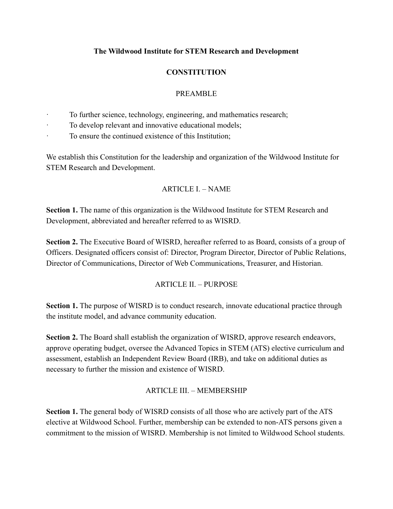#### **The Wildwood Institute for STEM Research and Development**

## **CONSTITUTION**

### PREAMBLE

- To further science, technology, engineering, and mathematics research;
- · To develop relevant and innovative educational models;
- · To ensure the continued existence of this Institution;

We establish this Constitution for the leadership and organization of the Wildwood Institute for STEM Research and Development.

### $ARTICLEI - NAME$

**Section 1.** The name of this organization is the Wildwood Institute for STEM Research and Development, abbreviated and hereafter referred to as WISRD.

**Section 2.** The Executive Board of WISRD, hereafter referred to as Board, consists of a group of Officers. Designated officers consist of: Director, Program Director, Director of Public Relations, Director of Communications, Director of Web Communications, Treasurer, and Historian.

### ARTICLE II. – PURPOSE

**Section 1.** The purpose of WISRD is to conduct research, innovate educational practice through the institute model, and advance community education.

**Section 2.** The Board shall establish the organization of WISRD, approve research endeavors, approve operating budget, oversee the Advanced Topics in STEM (ATS) elective curriculum and assessment, establish an Independent Review Board (IRB), and take on additional duties as necessary to further the mission and existence of WISRD.

### ARTICLE III. – MEMBERSHIP

**Section 1.** The general body of WISRD consists of all those who are actively part of the ATS elective at Wildwood School. Further, membership can be extended to non-ATS persons given a commitment to the mission of WISRD. Membership is not limited to Wildwood School students.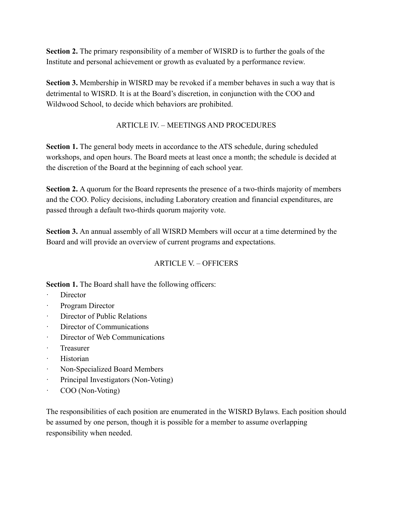**Section 2.** The primary responsibility of a member of WISRD is to further the goals of the Institute and personal achievement or growth as evaluated by a performance review.

**Section 3.** Membership in WISRD may be revoked if a member behaves in such a way that is detrimental to WISRD. It is at the Board's discretion, in conjunction with the COO and Wildwood School, to decide which behaviors are prohibited.

### ARTICLE IV. – MEETINGS AND PROCEDURES

**Section 1.** The general body meets in accordance to the ATS schedule, during scheduled workshops, and open hours. The Board meets at least once a month; the schedule is decided at the discretion of the Board at the beginning of each school year.

**Section 2.** A quorum for the Board represents the presence of a two-thirds majority of members and the COO. Policy decisions, including Laboratory creation and financial expenditures, are passed through a default two-thirds quorum majority vote.

**Section 3.** An annual assembly of all WISRD Members will occur at a time determined by the Board and will provide an overview of current programs and expectations.

# ARTICLE V – OFFICERS

**Section 1.** The Board shall have the following officers:

- Director
- Program Director
- · Director of Public Relations
- Director of Communications
- · Director of Web Communications
- · Treasurer
- · Historian
- · Non-Specialized Board Members
- Principal Investigators (Non-Voting)
- · COO (Non-Voting)

The responsibilities of each position are enumerated in the WISRD Bylaws. Each position should be assumed by one person, though it is possible for a member to assume overlapping responsibility when needed.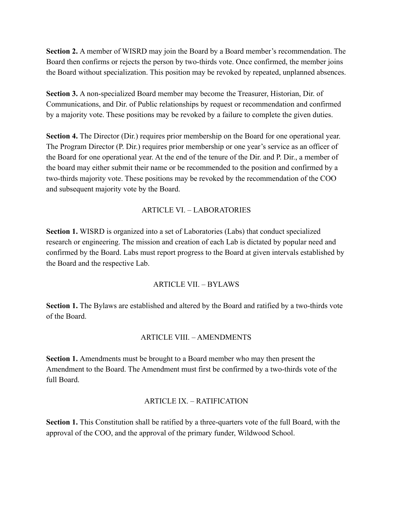**Section 2.** A member of WISRD may join the Board by a Board member's recommendation. The Board then confirms or rejects the person by two-thirds vote. Once confirmed, the member joins the Board without specialization. This position may be revoked by repeated, unplanned absences.

**Section 3.** A non-specialized Board member may become the Treasurer, Historian, Dir. of Communications, and Dir. of Public relationships by request or recommendation and confirmed by a majority vote. These positions may be revoked by a failure to complete the given duties.

**Section 4.** The Director (Dir.) requires prior membership on the Board for one operational year. The Program Director (P. Dir.) requires prior membership or one year's service as an officer of the Board for one operational year. At the end of the tenure of the Dir. and P. Dir., a member of the board may either submit their name or be recommended to the position and confirmed by a two-thirds majority vote. These positions may be revoked by the recommendation of the COO and subsequent majority vote by the Board.

### ARTICLE VI. – LABORATORIES

**Section 1.** WISRD is organized into a set of Laboratories (Labs) that conduct specialized research or engineering. The mission and creation of each Lab is dictated by popular need and confirmed by the Board. Labs must report progress to the Board at given intervals established by the Board and the respective Lab.

### ARTICLE VII. – BYLAWS

**Section 1.** The Bylaws are established and altered by the Board and ratified by a two-thirds vote of the Board.

### ARTICLE VIII. – AMENDMENTS

**Section 1.** Amendments must be brought to a Board member who may then present the Amendment to the Board. The Amendment must first be confirmed by a two-thirds vote of the full Board.

### ARTICLE IX. – RATIFICATION

**Section 1.** This Constitution shall be ratified by a three-quarters vote of the full Board, with the approval of the COO, and the approval of the primary funder, Wildwood School.